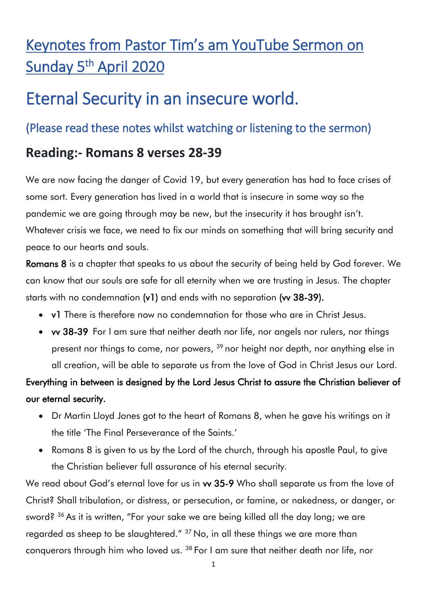## Keynotes from Pastor Tim's am YouTube Sermon on Sunday 5<sup>th</sup> April 2020

# Eternal Security in an insecure world.

#### (Please read these notes whilst watching or listening to the sermon)

### **Reading:- Romans 8 verses 28-39**

We are now facing the danger of Covid 19, but every generation has had to face crises of some sort. Every generation has lived in a world that is insecure in some way so the pandemic we are going through may be new, but the insecurity it has brought isn't. Whatever crisis we face, we need to fix our minds on something that will bring security and peace to our hearts and souls.

Romans 8 is a chapter that speaks to us about the security of being held by God forever. We can know that our souls are safe for all eternity when we are trusting in Jesus. The chapter starts with no condemnation (v1) and ends with no separation (vv 38-39).

- v1 There is therefore now no condemnation for those who are in Christ Jesus.
- vv 38-39 For I am sure that neither death nor life, nor angels nor rulers, nor things present nor things to come, nor powers, <sup>39</sup> nor height nor depth, nor anything else in all creation, will be able to separate us from the love of God in Christ Jesus our Lord.

#### Everything in between is designed by the Lord Jesus Christ to assure the Christian believer of our eternal security.

- Dr Martin Lloyd Jones got to the heart of Romans 8, when he gave his writings on it the title 'The Final Perseverance of the Saints.'
- Romans 8 is given to us by the Lord of the church, through his apostle Paul, to give the Christian believer full assurance of his eternal security.

We read about God's eternal love for us in w 35-9 Who shall separate us from the love of Christ? Shall tribulation, or distress, or persecution, or famine, or nakedness, or danger, or sword? <sup>36</sup> As it is written, "For your sake we are being killed all the day long; we are regarded as sheep to be slaughtered." <sup>37</sup> No, in all these things we are more than conquerors through him who loved us. <sup>38</sup> For I am sure that neither death nor life, nor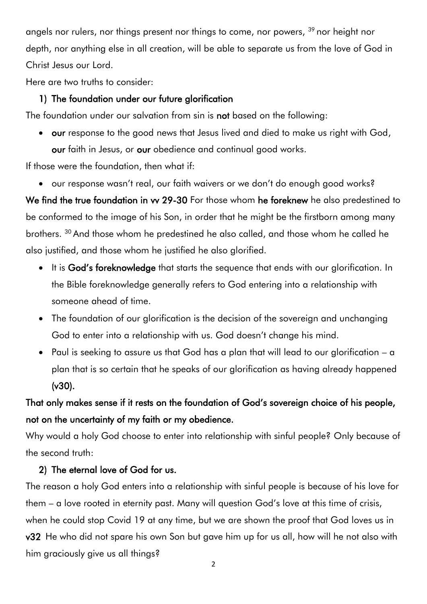angels nor rulers, nor things present nor things to come, nor powers, <sup>39</sup> nor height nor depth, nor anything else in all creation, will be able to separate us from the love of God in Christ Jesus our Lord.

Here are two truths to consider:

#### 1) The foundation under our future glorification

The foundation under our salvation from sin is not based on the following:

• our response to the good news that Jesus lived and died to make us right with God, our faith in Jesus, or our obedience and continual good works.

If those were the foundation, then what if:

our response wasn't real, our faith waivers or we don't do enough good works?

We find the true foundation in vy 29-30 For those whom he foreknew he also predestined to be conformed to the image of his Son, in order that he might be the firstborn among many brothers. <sup>30</sup> And those whom he predestined he also called, and those whom he called he also justified, and those whom he justified he also glorified.

- It is God's foreknowledge that starts the sequence that ends with our glorification. In the Bible foreknowledge generally refers to God entering into a relationship with someone ahead of time.
- The foundation of our glorification is the decision of the sovereign and unchanging God to enter into a relationship with us. God doesn't change his mind.
- Paul is seeking to assure us that God has a plan that will lead to our glorification a plan that is so certain that he speaks of our glorification as having already happened (v30).

#### That only makes sense if it rests on the foundation of God's sovereign choice of his people, not on the uncertainty of my faith or my obedience.

Why would a holy God choose to enter into relationship with sinful people? Only because of the second truth:

#### 2) The eternal love of God for us.

The reason a holy God enters into a relationship with sinful people is because of his love for them – a love rooted in eternity past. Many will question God's love at this time of crisis, when he could stop Covid 19 at any time, but we are shown the proof that God loves us in v32 He who did not spare his own Son but gave him up for us all, how will he not also with him graciously give us all things?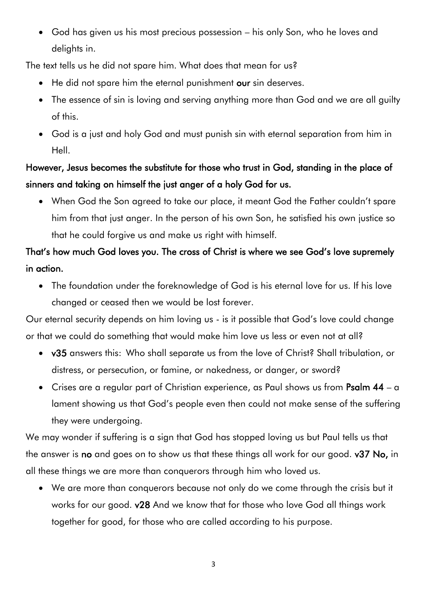God has given us his most precious possession – his only Son, who he loves and delights in.

The text tells us he did not spare him. What does that mean for us?

- He did not spare him the eternal punishment our sin deserves.
- The essence of sin is loving and serving anything more than God and we are all guilty of this.
- God is a just and holy God and must punish sin with eternal separation from him in Hell.

#### However, Jesus becomes the substitute for those who trust in God, standing in the place of sinners and taking on himself the just anger of a holy God for us.

 When God the Son agreed to take our place, it meant God the Father couldn't spare him from that just anger. In the person of his own Son, he satisfied his own justice so that he could forgive us and make us right with himself.

### That's how much God loves you. The cross of Christ is where we see God's love supremely in action.

• The foundation under the foreknowledge of God is his eternal love for us. If his love changed or ceased then we would be lost forever.

Our eternal security depends on him loving us - is it possible that God's love could change or that we could do something that would make him love us less or even not at all?

- v35 answers this: Who shall separate us from the love of Christ? Shall tribulation, or distress, or persecution, or famine, or nakedness, or danger, or sword?
- Crises are a regular part of Christian experience, as Paul shows us from Psalm 44 a lament showing us that God's people even then could not make sense of the suffering they were undergoing.

We may wonder if suffering is a sign that God has stopped loving us but Paul tells us that the answer is no and goes on to show us that these things all work for our good. v37 No, in all these things we are more than conquerors through him who loved us.

 We are more than conquerors because not only do we come through the crisis but it works for our good. v28 And we know that for those who love God all things work together for good, for those who are called according to his purpose.